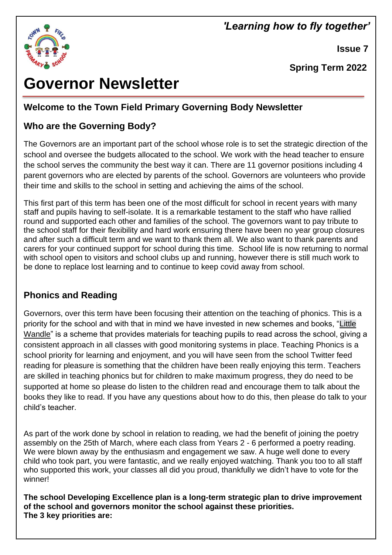# *'Learning how to fly together'*



 **Issue 7**

 **Spring Term 2022**

# **Governor Newsletter**

# **Welcome to the Town Field Primary Governing Body Newsletter**

## **Who are the Governing Body?**

The Governors are an important part of the school whose role is to set the strategic direction of the school and oversee the budgets allocated to the school. We work with the head teacher to ensure the school serves the community the best way it can. There are 11 governor positions including 4 parent governors who are elected by parents of the school. Governors are volunteers who provide their time and skills to the school in setting and achieving the aims of the school.

This first part of this term has been one of the most difficult for school in recent years with many staff and pupils having to self-isolate. It is a remarkable testament to the staff who have rallied round and supported each other and families of the school. The governors want to pay tribute to the school staff for their flexibility and hard work ensuring there have been no year group closures and after such a difficult term and we want to thank them all. We also want to thank parents and carers for your continued support for school during this time. School life is now returning to normal with school open to visitors and school clubs up and running, however there is still much work to be done to replace lost learning and to continue to keep covid away from school.

#### **Phonics and Reading**

Governors, over this term have been focusing their attention on the teaching of phonics. This is a priority for the school and with that in mind we have invested in new schemes and books, ["Little](https://www.littlewandlelettersandsounds.org.uk/resources/for-parents/)  [Wandle"](https://www.littlewandlelettersandsounds.org.uk/resources/for-parents/) is a scheme that provides materials for teaching pupils to read across the school, giving a consistent approach in all classes with good monitoring systems in place. Teaching Phonics is a school priority for learning and enjoyment, and you will have seen from the school Twitter feed reading for pleasure is something that the children have been really enjoying this term. Teachers are skilled in teaching phonics but for children to make maximum progress, they do need to be supported at home so please do listen to the children read and encourage them to talk about the books they like to read. If you have any questions about how to do this, then please do talk to your child's teacher.

As part of the work done by school in relation to reading, we had the benefit of joining the poetry assembly on the 25th of March, where each class from Years 2 - 6 performed a poetry reading. We were blown away by the enthusiasm and engagement we saw. A huge well done to every child who took part, you were fantastic, and we really enjoyed watching. Thank you too to all staff who supported this work, your classes all did you proud, thankfully we didn't have to vote for the winner!

**The school Developing Excellence plan is a long-term strategic plan to drive improvement of the school and governors monitor the school against these priorities. The 3 key priorities are:**